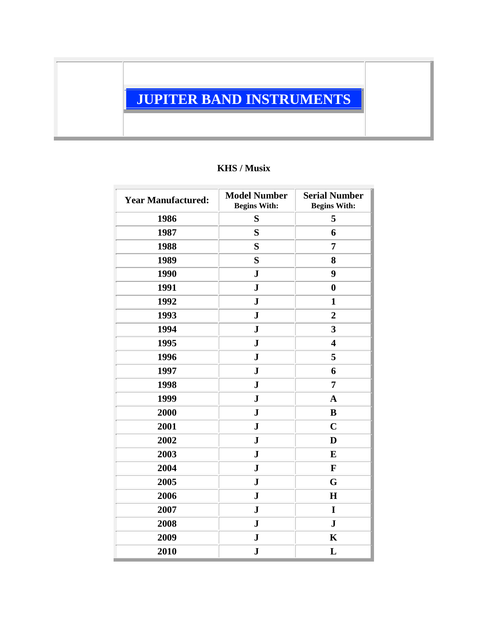

## **KHS / Musix**

| <b>Year Manufactured:</b> | <b>Model Number</b><br><b>Begins With:</b> | <b>Serial Number</b><br><b>Begins With:</b> |
|---------------------------|--------------------------------------------|---------------------------------------------|
| 1986                      | S                                          | 5                                           |
| 1987                      | S                                          | 6                                           |
| 1988                      | S                                          | 7                                           |
| 1989                      | S                                          | 8                                           |
| 1990                      | ${\bf J}$                                  | 9                                           |
| 1991                      | ${\bf J}$                                  | $\bf{0}$                                    |
| 1992                      | ${\bf J}$                                  | $\mathbf{1}$                                |
| 1993                      | ${\bf J}$                                  | $\overline{2}$                              |
| 1994                      | ${\bf J}$                                  | 3                                           |
| 1995                      | ${\bf J}$                                  | $\overline{\mathbf{4}}$                     |
| 1996                      | ${\bf J}$                                  | 5                                           |
| 1997                      | ${\bf J}$                                  | 6                                           |
| 1998                      | ${\bf J}$                                  | 7                                           |
| 1999                      | ${\bf J}$                                  | $\mathbf A$                                 |
| 2000                      | ${\bf J}$                                  | B                                           |
| 2001                      | ${\bf J}$                                  | $\mathbf C$                                 |
| 2002                      | ${\bf J}$                                  | D                                           |
| 2003                      | ${\bf J}$                                  | E                                           |
| 2004                      | ${\bf J}$                                  | $\mathbf F$                                 |
| 2005                      | ${\bf J}$                                  | G                                           |
| 2006                      | ${\bf J}$                                  | $\mathbf H$                                 |
| 2007                      | ${\bf J}$                                  | I                                           |
| 2008                      | ${\bf J}$                                  | ${\bf J}$                                   |
| 2009                      | ${\bf J}$                                  | $\mathbf K$                                 |
| 2010                      | ${\bf J}$                                  | L                                           |